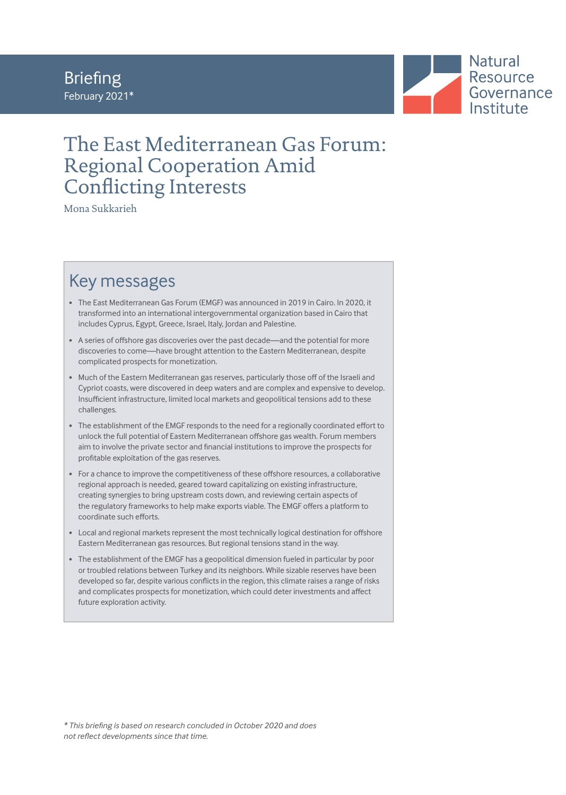### Briefing February 2021\*



### The East Mediterranean Gas Forum: Regional Cooperation Amid Conflicting Interests

Mona Sukkarieh

### Key messages

- The East Mediterranean Gas Forum (EMGF) was announced in 2019 in Cairo. In 2020, it transformed into an international intergovernmental organization based in Cairo that includes Cyprus, Egypt, Greece, Israel, Italy, Jordan and Palestine.
- A series of offshore gas discoveries over the past decade—and the potential for more discoveries to come—have brought attention to the Eastern Mediterranean, despite complicated prospects for monetization.
- Much of the Eastern Mediterranean gas reserves, particularly those off of the Israeli and Cypriot coasts, were discovered in deep waters and are complex and expensive to develop. Insufficient infrastructure, limited local markets and geopolitical tensions add to these challenges.
- The establishment of the EMGF responds to the need for a regionally coordinated effort to unlock the full potential of Eastern Mediterranean offshore gas wealth. Forum members aim to involve the private sector and financial institutions to improve the prospects for profitable exploitation of the gas reserves.
- For a chance to improve the competitiveness of these offshore resources, a collaborative regional approach is needed, geared toward capitalizing on existing infrastructure, creating synergies to bring upstream costs down, and reviewing certain aspects of the regulatory frameworks to help make exports viable. The EMGF offers a platform to coordinate such efforts.
- Local and regional markets represent the most technically logical destination for offshore Eastern Mediterranean gas resources. But regional tensions stand in the way.
- The establishment of the EMGF has a geopolitical dimension fueled in particular by poor or troubled relations between Turkey and its neighbors. While sizable reserves have been developed so far, despite various conflicts in the region, this climate raises a range of risks and complicates prospects for monetization, which could deter investments and affect future exploration activity.

*\* This briefing is based on research concluded in October 2020 and does not reflect developments since that time.*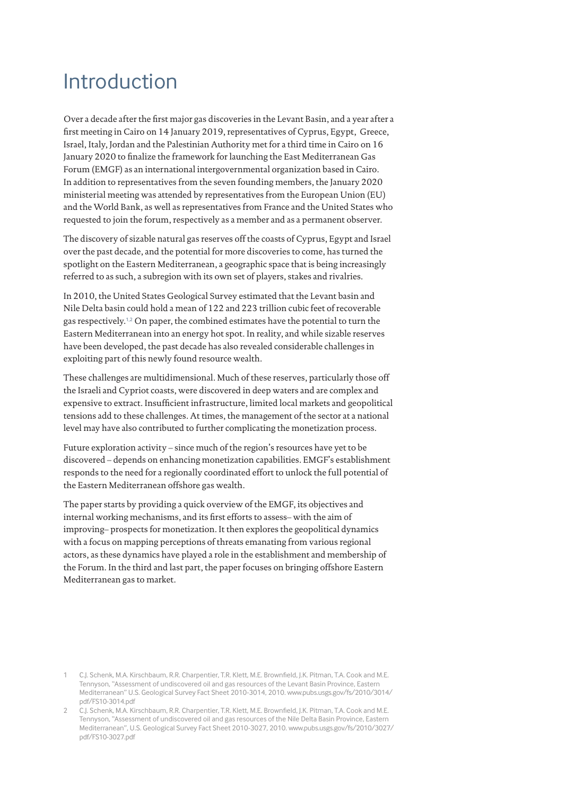## Introduction

Over a decade after the first major gas discoveries in the Levant Basin, and a year after a first meeting in Cairo on 14 January 2019, representatives of Cyprus, Egypt, Greece, Israel, Italy, Jordan and the Palestinian Authority met for a third time in Cairo on 16 January 2020 to finalize the framework for launching the East Mediterranean Gas Forum (EMGF) as an international intergovernmental organization based in Cairo. In addition to representatives from the seven founding members, the January 2020 ministerial meeting was attended by representatives from the European Union (EU) and the World Bank, as well as representatives from France and the United States who requested to join the forum, respectively as a member and as a permanent observer.

The discovery of sizable natural gas reserves off the coasts of Cyprus, Egypt and Israel over the past decade, and the potential for more discoveries to come, has turned the spotlight on the Eastern Mediterranean, a geographic space that is being increasingly referred to as such, a subregion with its own set of players, stakes and rivalries.

In 2010, the United States Geological Survey estimated that the Levant basin and Nile Delta basin could hold a mean of 122 and 223 trillion cubic feet of recoverable gas respectively.1,2 On paper, the combined estimates have the potential to turn the Eastern Mediterranean into an energy hot spot. In reality, and while sizable reserves have been developed, the past decade has also revealed considerable challenges in exploiting part of this newly found resource wealth.

These challenges are multidimensional. Much of these reserves, particularly those off the Israeli and Cypriot coasts, were discovered in deep waters and are complex and expensive to extract. Insufficient infrastructure, limited local markets and geopolitical tensions add to these challenges. At times, the management of the sector at a national level may have also contributed to further complicating the monetization process.

Future exploration activity – since much of the region's resources have yet to be discovered – depends on enhancing monetization capabilities. EMGF's establishment responds to the need for a regionally coordinated effort to unlock the full potential of the Eastern Mediterranean offshore gas wealth.

The paper starts by providing a quick overview of the EMGF, its objectives and internal working mechanisms, and its first efforts to assess– with the aim of improving– prospects for monetization. It then explores the geopolitical dynamics with a focus on mapping perceptions of threats emanating from various regional actors, as these dynamics have played a role in the establishment and membership of the Forum. In the third and last part, the paper focuses on bringing offshore Eastern Mediterranean gas to market.

<sup>1</sup> C.J. Schenk, M.A. Kirschbaum, R.R. Charpentier, T.R. Klett, M.E. Brownfield, J.K. Pitman, T.A. Cook and M.E. Tennyson, "Assessment of undiscovered oil and gas resources of the Levant Basin Province, Eastern Mediterranean" U.S. Geological Survey Fact Sheet 2010-3014, 2010. www.pubs.usgs.gov/fs/2010/3014/ pdf/FS10-3014.pdf

<sup>2</sup> C.J. Schenk, M.A. Kirschbaum, R.R. Charpentier, T.R. Klett, M.E. Brownfield, J.K. Pitman, T.A. Cook and M.E. Tennyson, "Assessment of undiscovered oil and gas resources of the Nile Delta Basin Province, Eastern Mediterranean", U.S. Geological Survey Fact Sheet 2010-3027, 2010. www.pubs.usgs.gov/fs/2010/3027/ pdf/FS10-3027.pdf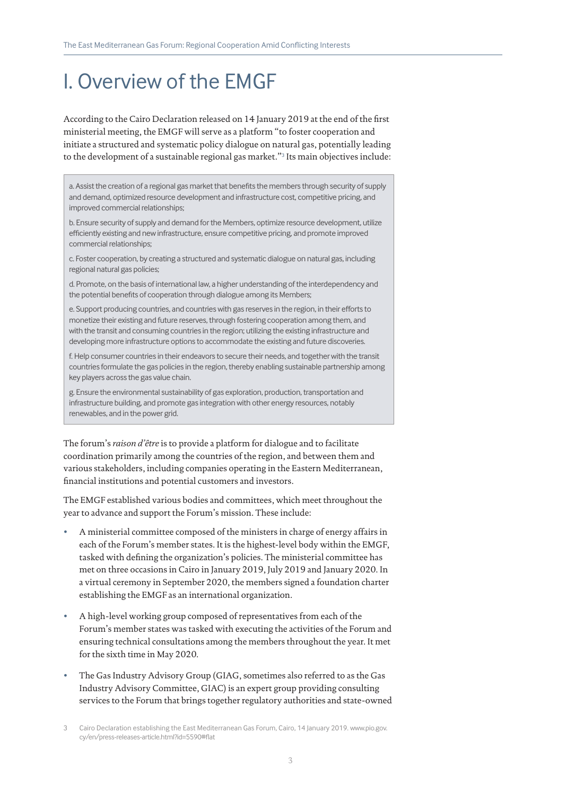# I. Overview of the EMGF

According to the Cairo Declaration released on 14 January 2019 at the end of the first ministerial meeting, the EMGF will serve as a platform "to foster cooperation and initiate a structured and systematic policy dialogue on natural gas, potentially leading to the development of a sustainable regional gas market."<sup>3</sup> Its main objectives include:

a. Assist the creation of a regional gas market that benefits the members through security of supply and demand, optimized resource development and infrastructure cost, competitive pricing, and improved commercial relationships;

b. Ensure security of supply and demand for the Members, optimize resource development, utilize efficiently existing and new infrastructure, ensure competitive pricing, and promote improved commercial relationships;

c. Foster cooperation, by creating a structured and systematic dialogue on natural gas, including regional natural gas policies;

d. Promote, on the basis of international law, a higher understanding of the interdependency and the potential benefits of cooperation through dialogue among its Members;

e. Support producing countries, and countries with gas reserves in the region, in their efforts to monetize their existing and future reserves, through fostering cooperation among them, and with the transit and consuming countries in the region; utilizing the existing infrastructure and developing more infrastructure options to accommodate the existing and future discoveries.

f. Help consumer countries in their endeavors to secure their needs, and together with the transit countries formulate the gas policies in the region, thereby enabling sustainable partnership among key players across the gas value chain.

g. Ensure the environmental sustainability of gas exploration, production, transportation and infrastructure building, and promote gas integration with other energy resources, notably renewables, and in the power grid.

The forum's *raison d'être* is to provide a platform for dialogue and to facilitate coordination primarily among the countries of the region, and between them and various stakeholders, including companies operating in the Eastern Mediterranean, financial institutions and potential customers and investors.

The EMGF established various bodies and committees, which meet throughout the year to advance and support the Forum's mission. These include:

- A ministerial committee composed of the ministers in charge of energy affairs in each of the Forum's member states. It is the highest-level body within the EMGF, tasked with defining the organization's policies. The ministerial committee has met on three occasions in Cairo in January 2019, July 2019 and January 2020. In a virtual ceremony in September 2020, the members signed a foundation charter establishing the EMGF as an international organization.
- A high-level working group composed of representatives from each of the Forum's member states was tasked with executing the activities of the Forum and ensuring technical consultations among the members throughout the year. It met for the sixth time in May 2020.
- The Gas Industry Advisory Group (GIAG, sometimes also referred to as the Gas Industry Advisory Committee, GIAC) is an expert group providing consulting services to the Forum that brings together regulatory authorities and state-owned

<sup>3</sup> Cairo Declaration establishing the East Mediterranean Gas Forum, Cairo, 14 January 2019. www.pio.gov. cy/en/press-releases-article.html?id=5590#flat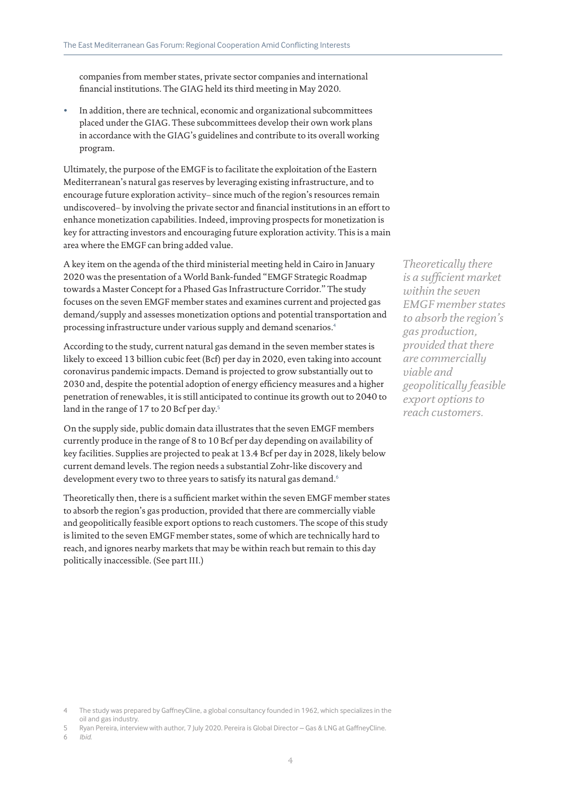companies from member states, private sector companies and international financial institutions. The GIAG held its third meeting in May 2020.

• In addition, there are technical, economic and organizational subcommittees placed under the GIAG. These subcommittees develop their own work plans in accordance with the GIAG's guidelines and contribute to its overall working program.

Ultimately, the purpose of the EMGF is to facilitate the exploitation of the Eastern Mediterranean's natural gas reserves by leveraging existing infrastructure, and to encourage future exploration activity– since much of the region's resources remain undiscovered– by involving the private sector and financial institutions in an effort to enhance monetization capabilities. Indeed, improving prospects for monetization is key for attracting investors and encouraging future exploration activity. This is a main area where the EMGF can bring added value.

A key item on the agenda of the third ministerial meeting held in Cairo in January 2020 was the presentation of a World Bank-funded "EMGF Strategic Roadmap towards a Master Concept for a Phased Gas Infrastructure Corridor." The study focuses on the seven EMGF member states and examines current and projected gas demand/supply and assesses monetization options and potential transportation and processing infrastructure under various supply and demand scenarios.<sup>4</sup>

According to the study, current natural gas demand in the seven member states is likely to exceed 13 billion cubic feet (Bcf) per day in 2020, even taking into account coronavirus pandemic impacts. Demand is projected to grow substantially out to 2030 and, despite the potential adoption of energy efficiency measures and a higher penetration of renewables, it is still anticipated to continue its growth out to 2040 to land in the range of 17 to 20 Bcf per day.<sup>5</sup>

On the supply side, public domain data illustrates that the seven EMGF members currently produce in the range of 8 to 10 Bcf per day depending on availability of key facilities. Supplies are projected to peak at 13.4 Bcf per day in 2028, likely below current demand levels. The region needs a substantial Zohr-like discovery and development every two to three years to satisfy its natural gas demand.<sup>6</sup>

Theoretically then, there is a sufficient market within the seven EMGF member states to absorb the region's gas production, provided that there are commercially viable and geopolitically feasible export options to reach customers. The scope of this study is limited to the seven EMGF member states, some of which are technically hard to reach, and ignores nearby markets that may be within reach but remain to this day politically inaccessible. (See part III.)

*Theoretically there is a sufficient market within the seven EMGF member states to absorb the region's gas production, provided that there are commercially viable and geopolitically feasible export options to reach customers.*

- 4 The study was prepared by GaffneyCline, a global consultancy founded in 1962, which specializes in the oil and gas industry.
- 5 Ryan Pereira, interview with author, 7 July 2020. Pereira is Global Director Gas & LNG at GaffneyCline.<br>6 Ibid.

6 *Ibid*.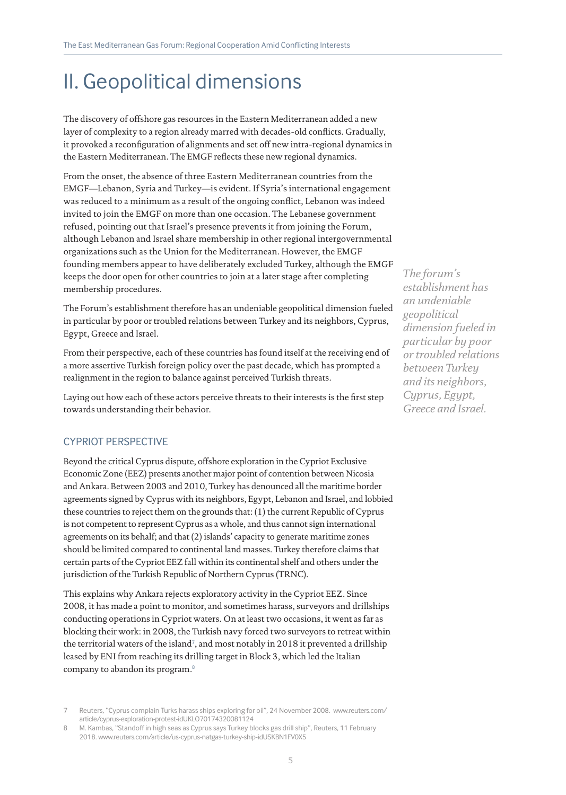# II. Geopolitical dimensions

The discovery of offshore gas resources in the Eastern Mediterranean added a new layer of complexity to a region already marred with decades-old conflicts. Gradually, it provoked a reconfiguration of alignments and set off new intra-regional dynamics in the Eastern Mediterranean. The EMGF reflects these new regional dynamics.

From the onset, the absence of three Eastern Mediterranean countries from the EMGF—Lebanon, Syria and Turkey—is evident. If Syria's international engagement was reduced to a minimum as a result of the ongoing conflict, Lebanon was indeed invited to join the EMGF on more than one occasion. The Lebanese government refused, pointing out that Israel's presence prevents it from joining the Forum, although Lebanon and Israel share membership in other regional intergovernmental organizations such as the Union for the Mediterranean. However, the EMGF founding members appear to have deliberately excluded Turkey, although the EMGF keeps the door open for other countries to join at a later stage after completing membership procedures.

The Forum's establishment therefore has an undeniable geopolitical dimension fueled in particular by poor or troubled relations between Turkey and its neighbors, Cyprus, Egypt, Greece and Israel.

From their perspective, each of these countries has found itself at the receiving end of a more assertive Turkish foreign policy over the past decade, which has prompted a realignment in the region to balance against perceived Turkish threats.

Laying out how each of these actors perceive threats to their interests is the first step towards understanding their behavior.

#### CYPRIOT PERSPECTIVE

Beyond the critical Cyprus dispute, offshore exploration in the Cypriot Exclusive Economic Zone (EEZ) presents another major point of contention between Nicosia and Ankara. Between 2003 and 2010, Turkey has denounced all the maritime border agreements signed by Cyprus with its neighbors, Egypt, Lebanon and Israel, and lobbied these countries to reject them on the grounds that: (1) the current Republic of Cyprus is not competent to represent Cyprus as a whole, and thus cannot sign international agreements on its behalf; and that (2) islands' capacity to generate maritime zones should be limited compared to continental land masses. Turkey therefore claims that certain parts of the Cypriot EEZ fall within its continental shelf and others under the jurisdiction of the Turkish Republic of Northern Cyprus (TRNC).

This explains why Ankara rejects exploratory activity in the Cypriot EEZ. Since 2008, it has made a point to monitor, and sometimes harass, surveyors and drillships conducting operations in Cypriot waters. On at least two occasions, it went as far as blocking their work: in 2008, the Turkish navy forced two surveyors to retreat within the territorial waters of the island<sup>7</sup>, and most notably in 2018 it prevented a drillship leased by ENI from reaching its drilling target in Block 3, which led the Italian company to abandon its program.<sup>8</sup>

*The forum's establishment has an undeniable geopolitical dimension fueled in particular by poor or troubled relations between Turkey and its neighbors, Cyprus, Egypt, Greece and Israel.*

<sup>7</sup> Reuters, "Cyprus complain Turks harass ships exploring for oil", 24 November 2008. www.reuters.com/ article/cyprus-exploration-protest-idUKLO70174320081124

<sup>8</sup> M. Kambas, "Standoff in high seas as Cyprus says Turkey blocks gas drill ship", Reuters, 11 February 2018. www.reuters.com/article/us-cyprus-natgas-turkey-ship-idUSKBN1FV0X5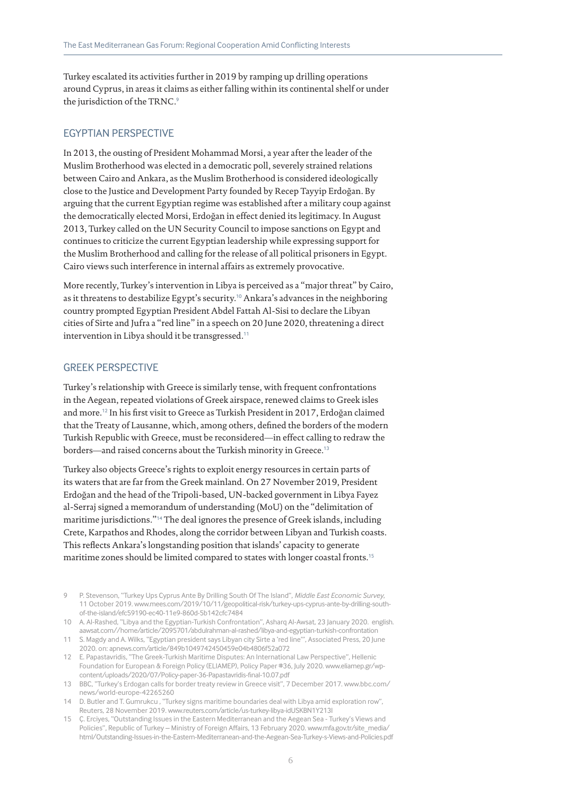Turkey escalated its activities further in 2019 by ramping up drilling operations around Cyprus, in areas it claims as either falling within its continental shelf or under the jurisdiction of the TRNC.<sup>9</sup>

#### EGYPTIAN PERSPECTIVE

In 2013, the ousting of President Mohammad Morsi, a year after the leader of the Muslim Brotherhood was elected in a democratic poll, severely strained relations between Cairo and Ankara, as the Muslim Brotherhood is considered ideologically close to the Justice and Development Party founded by Recep Tayyip Erdoğan. By arguing that the current Egyptian regime was established after a military coup against the democratically elected Morsi, Erdoğan in effect denied its legitimacy. In August 2013, Turkey called on the UN Security Council to impose sanctions on Egypt and continues to criticize the current Egyptian leadership while expressing support for the Muslim Brotherhood and calling for the release of all political prisoners in Egypt. Cairo views such interference in internal affairs as extremely provocative.

More recently, Turkey's intervention in Libya is perceived as a "major threat" by Cairo, as it threatens to destabilize Egypt's security.10 Ankara's advances in the neighboring country prompted Egyptian President Abdel Fattah Al-Sisi to declare the Libyan cities of Sirte and Jufra a "red line" in a speech on 20 June 2020, threatening a direct intervention in Libya should it be transgressed.<sup>11</sup>

#### GREEK PERSPECTIVE

Turkey's relationship with Greece is similarly tense, with frequent confrontations in the Aegean, repeated violations of Greek airspace, renewed claims to Greek isles and more.12 In his first visit to Greece as Turkish President in 2017, Erdoğan claimed that the Treaty of Lausanne, which, among others, defined the borders of the modern Turkish Republic with Greece, must be reconsidered—in effect calling to redraw the borders—and raised concerns about the Turkish minority in Greece.<sup>13</sup>

Turkey also objects Greece's rights to exploit energy resources in certain parts of its waters that are far from the Greek mainland. On 27 November 2019, President Erdoğan and the head of the Tripoli-based, UN-backed government in Libya Fayez al-Serraj signed a memorandum of understanding (MoU) on the "delimitation of maritime jurisdictions."14 The deal ignores the presence of Greek islands, including Crete, Karpathos and Rhodes, along the corridor between Libyan and Turkish coasts. This reflects Ankara's longstanding position that islands' capacity to generate maritime zones should be limited compared to states with longer coastal fronts.<sup>15</sup>

- 9 P. Stevenson, "Turkey Ups Cyprus Ante By Drilling South Of The Island", *Middle East Economic Survey*, 11 October 2019. www.mees.com/2019/10/11/geopolitical-risk/turkey-ups-cyprus-ante-by-drilling-southof-the-island/efc59190-ec40-11e9-860d-5b142cfc7484
- 10 A. Al-Rashed, "Libya and the Egyptian-Turkish Confrontation", Asharq Al-Awsat, 23 January 2020. english. aawsat.com//home/article/2095701/abdulrahman-al-rashed/libya-and-egyptian-turkish-confrontation
- 11 S. Magdy and A. Wilks, "Egyptian president says Libyan city Sirte a 'red line'", Associated Press, 20 June 2020. on: apnews.com/article/849b1049742450459e04b4806f52a072
- 12 E. Papastavridis, "The Greek-Turkish Maritime Disputes: An International Law Perspective", Hellenic Foundation for European & Foreign Policy (ELIAMEP), Policy Paper #36, July 2020. www.eliamep.gr/wpcontent/uploads/2020/07/Policy-paper-36-Papastavridis-final-10.07.pdf
- 13 BBC, "Turkey's Erdogan calls for border treaty review in Greece visit", 7 December 2017. www.bbc.com/ news/world-europe-42265260
- 14 D. Butler and T. Gumrukcu , "Turkey signs maritime boundaries deal with Libya amid exploration row", Reuters, 28 November 2019. www.reuters.com/article/us-turkey-libya-idUSKBN1Y213I
- 15 Ç. Erciyes, "Outstanding Issues in the Eastern Mediterranean and the Aegean Sea Turkey's Views and Policies", Republic of Turkey – Ministry of Foreign Affairs, 13 February 2020. www.mfa.gov.tr/site\_media/ html/Outstanding-Issues-in-the-Eastern-Mediterranean-and-the-Aegean-Sea-Turkey-s-Views-and-Policies.pdf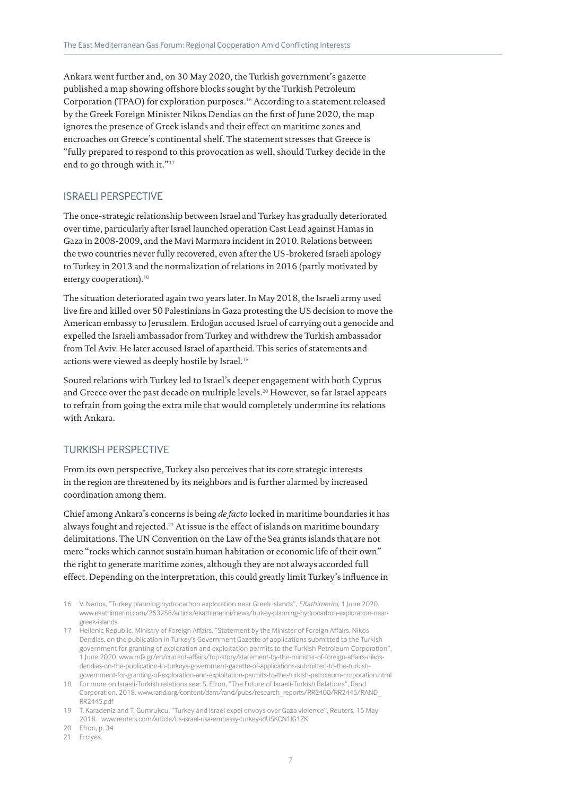Ankara went further and, on 30 May 2020, the Turkish government's gazette published a map showing offshore blocks sought by the Turkish Petroleum Corporation (TPAO) for exploration purposes.<sup>16</sup> According to a statement released by the Greek Foreign Minister Nikos Dendias on the first of June 2020, the map ignores the presence of Greek islands and their effect on maritime zones and encroaches on Greece's continental shelf. The statement stresses that Greece is "fully prepared to respond to this provocation as well, should Turkey decide in the end to go through with it."<sup>17</sup>

#### ISRAELI PERSPECTIVE

The once-strategic relationship between Israel and Turkey has gradually deteriorated over time, particularly after Israel launched operation Cast Lead against Hamas in Gaza in 2008-2009, and the Mavi Marmara incident in 2010. Relations between the two countries never fully recovered, even after the US-brokered Israeli apology to Turkey in 2013 and the normalization of relations in 2016 (partly motivated by energy cooperation).<sup>18</sup>

The situation deteriorated again two years later. In May 2018, the Israeli army used live fire and killed over 50 Palestinians in Gaza protesting the US decision to move the American embassy to Jerusalem. Erdoğan accused Israel of carrying out a genocide and expelled the Israeli ambassador from Turkey and withdrew the Turkish ambassador from Tel Aviv. He later accused Israel of apartheid. This series of statements and actions were viewed as deeply hostile by Israel.<sup>19</sup>

Soured relations with Turkey led to Israel's deeper engagement with both Cyprus and Greece over the past decade on multiple levels.<sup>20</sup> However, so far Israel appears to refrain from going the extra mile that would completely undermine its relations with Ankara.

#### TURKISH PERSPECTIVE

From its own perspective, Turkey also perceives that its core strategic interests in the region are threatened by its neighbors and is further alarmed by increased coordination among them.

Chief among Ankara's concerns is being *de facto* locked in maritime boundaries it has always fought and rejected.21 At issue is the effect of islands on maritime boundary delimitations. The UN Convention on the Law of the Sea grants islands that are not mere "rocks which cannot sustain human habitation or economic life of their own" the right to generate maritime zones, although they are not always accorded full effect. Depending on the interpretation, this could greatly limit Turkey's influence in

- 16 V. Nedos, "Turkey planning hydrocarbon exploration near Greek islands", *EKathimerini*, 1 June 2020. www.ekathimerini.com/253258/article/ekathimerini/news/turkey-planning-hydrocarbon-exploration-neargreek-islands
- 17 Hellenic Republic, Ministry of Foreign Affairs, "Statement by the Minister of Foreign Affairs, Nikos Dendias, on the publication in Turkey's Government Gazette of applications submitted to the Turkish government for granting of exploration and exploitation permits to the Turkish Petroleum Corporation", 1 June 2020. www.mfa.gr/en/current-affairs/top-story/statement-by-the-minister-of-foreign-affairs-nikosdendias-on-the-publication-in-turkeys-government-gazette-of-applications-submitted-to-the-turkishgovernment-for-granting-of-exploration-and-exploitation-permits-to-the-turkish-petroleum-corporation.html
- 18 For more on Israeli-Turkish relations see: S. Efron, "The Future of Israeli-Turkish Relations", Rand Corporation, 2018. www.rand.org/content/dam/rand/pubs/research\_reports/RR2400/RR2445/RAND\_ RR2445.pdf
- 19 T. Karadeniz and T. Gumrukcu, "Turkey and Israel expel envoys over Gaza violence", Reuters, 15 May 2018. www.reuters.com/article/us-israel-usa-embassy-turkey-idUSKCN1IG1ZK
- 20 Efron, p. 34
- 21 Erciyes.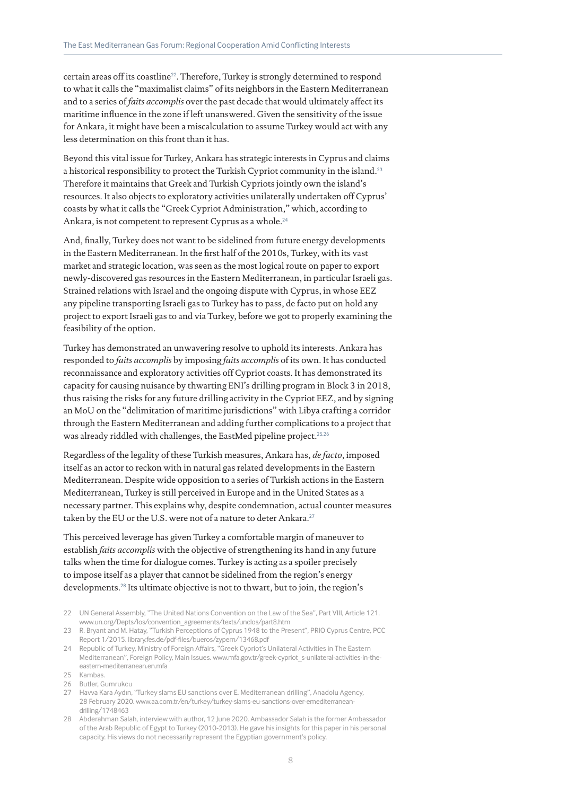certain areas off its coastline22. Therefore, Turkey is strongly determined to respond to what it calls the "maximalist claims" of its neighbors in the Eastern Mediterranean and to a series of *faits accomplis* over the past decade that would ultimately affect its maritime influence in the zone if left unanswered. Given the sensitivity of the issue for Ankara, it might have been a miscalculation to assume Turkey would act with any less determination on this front than it has.

Beyond this vital issue for Turkey, Ankara has strategic interests in Cyprus and claims a historical responsibility to protect the Turkish Cypriot community in the island.<sup>23</sup> Therefore it maintains that Greek and Turkish Cypriots jointly own the island's resources. It also objects to exploratory activities unilaterally undertaken off Cyprus' coasts by what it calls the "Greek Cypriot Administration," which, according to Ankara, is not competent to represent Cyprus as a whole.<sup>24</sup>

And, finally, Turkey does not want to be sidelined from future energy developments in the Eastern Mediterranean. In the first half of the 2010s, Turkey, with its vast market and strategic location, was seen as the most logical route on paper to export newly-discovered gas resources in the Eastern Mediterranean, in particular Israeli gas. Strained relations with Israel and the ongoing dispute with Cyprus, in whose EEZ any pipeline transporting Israeli gas to Turkey has to pass, de facto put on hold any project to export Israeli gas to and via Turkey, before we got to properly examining the feasibility of the option.

Turkey has demonstrated an unwavering resolve to uphold its interests. Ankara has responded to *faits accomplis* by imposing *faits accomplis* of its own. It has conducted reconnaissance and exploratory activities off Cypriot coasts. It has demonstrated its capacity for causing nuisance by thwarting ENI's drilling program in Block 3 in 2018, thus raising the risks for any future drilling activity in the Cypriot EEZ, and by signing an MoU on the "delimitation of maritime jurisdictions" with Libya crafting a corridor through the Eastern Mediterranean and adding further complications to a project that was already riddled with challenges, the EastMed pipeline project.<sup>25,26</sup>

Regardless of the legality of these Turkish measures, Ankara has, *de facto*, imposed itself as an actor to reckon with in natural gas related developments in the Eastern Mediterranean. Despite wide opposition to a series of Turkish actions in the Eastern Mediterranean, Turkey is still perceived in Europe and in the United States as a necessary partner. This explains why, despite condemnation, actual counter measures taken by the EU or the U.S. were not of a nature to deter Ankara.<sup>27</sup>

This perceived leverage has given Turkey a comfortable margin of maneuver to establish *faits accomplis* with the objective of strengthening its hand in any future talks when the time for dialogue comes. Turkey is acting as a spoiler precisely to impose itself as a player that cannot be sidelined from the region's energy developments.28 Its ultimate objective is not to thwart, but to join, the region's

- 22 UN General Assembly, "The United Nations Convention on the Law of the Sea", Part VIII, Article 121. www.un.org/Depts/los/convention\_agreements/texts/unclos/part8.htm
- 23 R. Bryant and M. Hatay, "Turkish Perceptions of Cyprus 1948 to the Present", PRIO Cyprus Centre, PCC Report 1/2015. library.fes.de/pdf-files/bueros/zypern/13468.pdf
- 24 Republic of Turkey, Ministry of Foreign Affairs, "Greek Cypriot's Unilateral Activities in The Eastern Mediterranean", Foreign Policy, Main Issues. www.mfa.gov.tr/greek-cypriot\_s-unilateral-activities-in-theeastern-mediterranean.en.mfa
- 25 Kambas.
- 26 Butler, Gumrukcu
- 27 Havva Kara Aydın, "Turkey slams EU sanctions over E. Mediterranean drilling", Anadolu Agency, 28 February 2020. www.aa.com.tr/en/turkey/turkey-slams-eu-sanctions-over-emediterraneandrilling/1748463
- 28 Abderahman Salah, interview with author, 12 June 2020. Ambassador Salah is the former Ambassador of the Arab Republic of Egypt to Turkey (2010-2013). He gave his insights for this paper in his personal capacity. His views do not necessarily represent the Egyptian government's policy.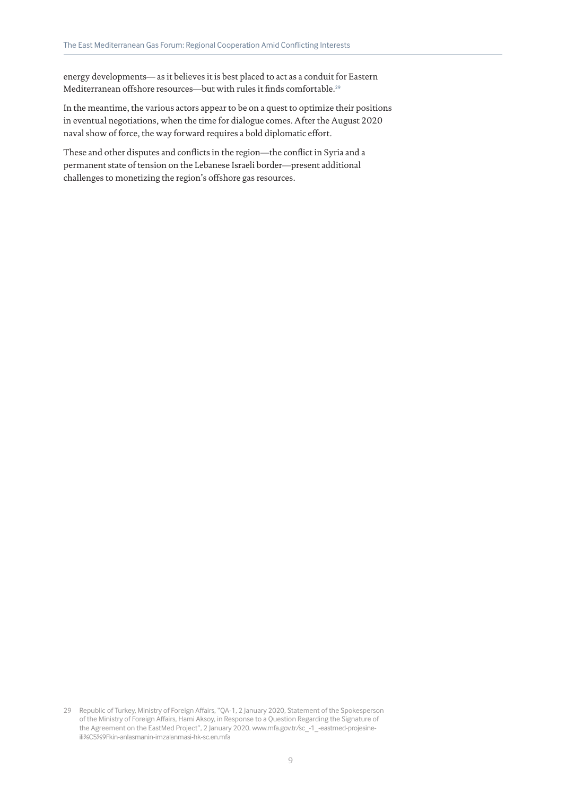energy developments— as it believes it is best placed to act as a conduit for Eastern Mediterranean offshore resources—but with rules it finds comfortable.<sup>29</sup>

In the meantime, the various actors appear to be on a quest to optimize their positions in eventual negotiations, when the time for dialogue comes. After the August 2020 naval show of force, the way forward requires a bold diplomatic effort.

These and other disputes and conflicts in the region—the conflict in Syria and a permanent state of tension on the Lebanese Israeli border—present additional challenges to monetizing the region's offshore gas resources.

<sup>29</sup> Republic of Turkey, Ministry of Foreign Affairs, "QA-1, 2 January 2020, Statement of the Spokesperson of the Ministry of Foreign Affairs, Hami Aksoy, in Response to a Question Regarding the Signature of the Agreement on the EastMed Project", 2 January 2020. www.mfa.gov.tr/sc\_-1\_-eastmed-projesineili%C5%9Fkin-anlasmanin-imzalanmasi-hk-sc.en.mfa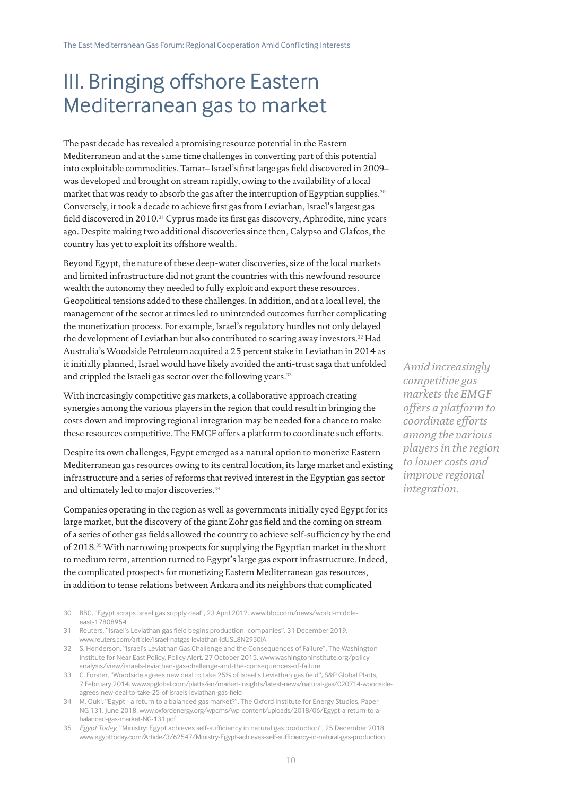### III. Bringing offshore Eastern Mediterranean gas to market

The past decade has revealed a promising resource potential in the Eastern Mediterranean and at the same time challenges in converting part of this potential into exploitable commodities. Tamar– Israel's first large gas field discovered in 2009– was developed and brought on stream rapidly, owing to the availability of a local market that was ready to absorb the gas after the interruption of Egyptian supplies.<sup>30</sup> Conversely, it took a decade to achieve first gas from Leviathan, Israel's largest gas field discovered in 2010.<sup>31</sup> Cyprus made its first gas discovery, Aphrodite, nine years ago. Despite making two additional discoveries since then, Calypso and Glafcos, the country has yet to exploit its offshore wealth.

Beyond Egypt, the nature of these deep-water discoveries, size of the local markets and limited infrastructure did not grant the countries with this newfound resource wealth the autonomy they needed to fully exploit and export these resources. Geopolitical tensions added to these challenges. In addition, and at a local level, the management of the sector at times led to unintended outcomes further complicating the monetization process. For example, Israel's regulatory hurdles not only delayed the development of Leviathan but also contributed to scaring away investors.<sup>32</sup> Had Australia's Woodside Petroleum acquired a 25 percent stake in Leviathan in 2014 as it initially planned, Israel would have likely avoided the anti-trust saga that unfolded and crippled the Israeli gas sector over the following years.<sup>33</sup>

With increasingly competitive gas markets, a collaborative approach creating synergies among the various players in the region that could result in bringing the costs down and improving regional integration may be needed for a chance to make these resources competitive. The EMGF offers a platform to coordinate such efforts.

Despite its own challenges, Egypt emerged as a natural option to monetize Eastern Mediterranean gas resources owing to its central location, its large market and existing infrastructure and a series of reforms that revived interest in the Egyptian gas sector and ultimately led to major discoveries.<sup>34</sup>

Companies operating in the region as well as governments initially eyed Egypt for its large market, but the discovery of the giant Zohr gas field and the coming on stream of a series of other gas fields allowed the country to achieve self-sufficiency by the end of 2018.35 With narrowing prospects for supplying the Egyptian market in the short to medium term, attention turned to Egypt's large gas export infrastructure. Indeed, the complicated prospects for monetizing Eastern Mediterranean gas resources, in addition to tense relations between Ankara and its neighbors that complicated

- 30 BBC, "Egypt scraps Israel gas supply deal", 23 April 2012. www.bbc.com/news/world-middleeast-17808954
- 31 Reuters, "Israel's Leviathan gas field begins production -companies", 31 December 2019. www.reuters.com/article/israel-natgas-leviathan-idUSL8N2950IA
- 32 S. Henderson, "Israel's Leviathan Gas Challenge and the Consequences of Failure", The Washington Institute for Near East Policy, Policy Alert, 27 October 2015. www.washingtoninstitute.org/policyanalysis/view/israels-leviathan-gas-challenge-and-the-consequences-of-failure
- 33 C. Forster, "Woodside agrees new deal to take 25% of Israel's Leviathan gas field", S&P Global Platts, 7 February 2014. www.spglobal.com/platts/en/market-insights/latest-news/natural-gas/020714-woodsideagrees-new-deal-to-take-25-of-israels-leviathan-gas-field
- 34 M. Ouki, "Egypt a return to a balanced gas market?", The Oxford Institute for Energy Studies, Paper NG 131, June 2018. www.oxfordenergy.org/wpcms/wp-content/uploads/2018/06/Egypt-a-return-to-abalanced-gas-market-NG-131.pdf
- 35 *Egypt Today*, "Ministry: Egypt achieves self-sufficiency in natural gas production", 25 December 2018. www.egypttoday.com/Article/3/62547/Ministry-Egypt-achieves-self-sufficiency-in-natural-gas-production

*Amid increasingly competitive gas markets the EMGF offers a platform to coordinate efforts among the various players in the region to lower costs and improve regional integration.*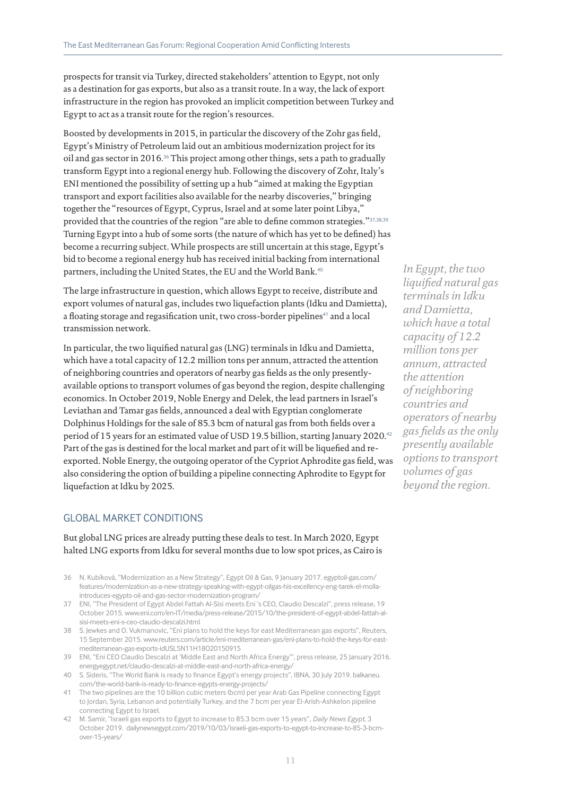prospects for transit via Turkey, directed stakeholders' attention to Egypt, not only as a destination for gas exports, but also as a transit route. In a way, the lack of export infrastructure in the region has provoked an implicit competition between Turkey and Egypt to act as a transit route for the region's resources.

Boosted by developments in 2015, in particular the discovery of the Zohr gas field, Egypt's Ministry of Petroleum laid out an ambitious modernization project for its oil and gas sector in 2016.<sup>36</sup> This project among other things, sets a path to gradually transform Egypt into a regional energy hub. Following the discovery of Zohr, Italy's ENI mentioned the possibility of setting up a hub "aimed at making the Egyptian transport and export facilities also available for the nearby discoveries," bringing together the "resources of Egypt, Cyprus, Israel and at some later point Libya," provided that the countries of the region "are able to define common strategies."37,38,39 Turning Egypt into a hub of some sorts (the nature of which has yet to be defined) has become a recurring subject. While prospects are still uncertain at this stage, Egypt's bid to become a regional energy hub has received initial backing from international partners, including the United States, the EU and the World Bank.<sup>40</sup>

The large infrastructure in question, which allows Egypt to receive, distribute and export volumes of natural gas, includes two liquefaction plants (Idku and Damietta), a floating storage and regasification unit, two cross-border pipelines<sup>41</sup> and a local transmission network.

In particular, the two liquified natural gas (LNG) terminals in Idku and Damietta, which have a total capacity of 12.2 million tons per annum, attracted the attention of neighboring countries and operators of nearby gas fields as the only presentlyavailable options to transport volumes of gas beyond the region, despite challenging economics. In October 2019, Noble Energy and Delek, the lead partners in Israel's Leviathan and Tamar gas fields, announced a deal with Egyptian conglomerate Dolphinus Holdings for the sale of 85.3 bcm of natural gas from both fields over a period of 15 years for an estimated value of USD 19.5 billion, starting January 2020.<sup>42</sup> Part of the gas is destined for the local market and part of it will be liquefied and reexported. Noble Energy, the outgoing operator of the Cypriot Aphrodite gas field, was also considering the option of building a pipeline connecting Aphrodite to Egypt for liquefaction at Idku by 2025.

#### GLOBAL MARKET CONDITIONS

But global LNG prices are already putting these deals to test. In March 2020, Egypt halted LNG exports from Idku for several months due to low spot prices, as Cairo is

- 36 N. Kubíková, "Modernization as a New Strategy", Egypt Oil & Gas, 9 January 2017. egyptoil-gas.com/ features/modernization-as-a-new-strategy-speaking-with-egypt-oilgas-his-excellency-eng-tarek-el-mollaintroduces-egypts-oil-and-gas-sector-modernization-program/
- 37 ENI, "The President of Egypt Abdel Fattah Al-Sisi meets Eni 's CEO, Claudio Descalzi", press release, 19 October 2015. www.eni.com/en-IT/media/press-release/2015/10/the-president-of-egypt-abdel-fattah-alsisi-meets-eni-s-ceo-claudio-descalzi.html
- 38 S. Jewkes and O. Vukmanovic, "Eni plans to hold the keys for east Mediterranean gas exports", Reuters, 15 September 2015. www.reuters.com/article/eni-mediterranean-gas/eni-plans-to-hold-the-keys-for-eastmediterranean-gas-exports-idUSL5N11H18O20150915
- 39 ENI, "Eni CEO Claudio Descalzi at 'Middle East and North Africa Energy'", press release, 25 January 2016. energyegypt.net/claudio-descalzi-at-middle-east-and-north-africa-energy/
- 40 S. Sideris, "The World Bank is ready to finance Egypt's energy projects", IBNA, 30 July 2019. balkaneu. com/the-world-bank-is-ready-to-finance-egypts-energy-projects/
- 41 The two pipelines are the 10 billion cubic meters (bcm) per year Arab Gas Pipeline connecting Egypt to Jordan, Syria, Lebanon and potentially Turkey, and the 7 bcm per year El-Arish-Ashkelon pipeline connecting Egypt to Israel.
- 42 M. Samir, "Israeli gas exports to Egypt to increase to 85.3 bcm over 15 years", *Daily News Egypt*, 3 October 2019. dailynewsegypt.com/2019/10/03/israeli-gas-exports-to-egypt-to-increase-to-85-3-bcmover-15-years/

*In Egypt, the two liquified natural gas terminals in Idku and Damietta, which have a total capacity of 12.2 million tons per annum, attracted the attention of neighboring countries and operators of nearby gas fields as the only presently available options to transport volumes of gas beyond the region.*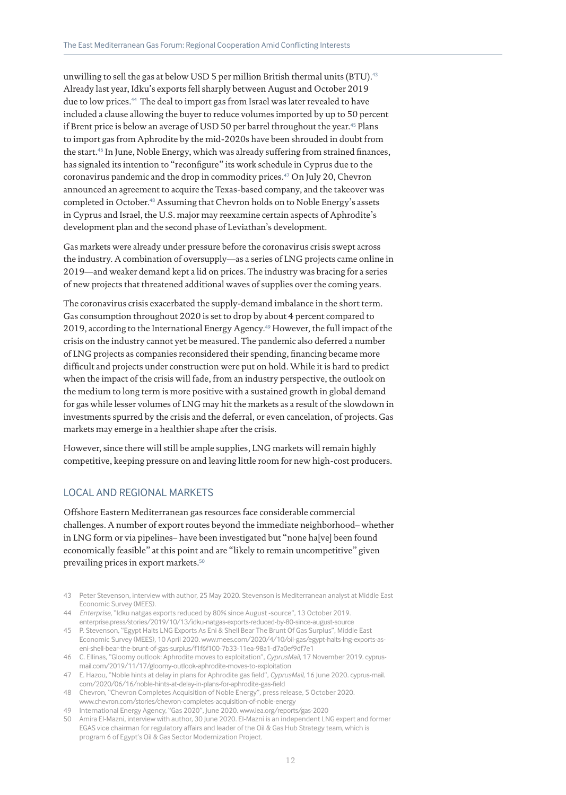unwilling to sell the gas at below USD 5 per million British thermal units (BTU).<sup>43</sup> Already last year, Idku's exports fell sharply between August and October 2019 due to low prices.<sup>44</sup> The deal to import gas from Israel was later revealed to have included a clause allowing the buyer to reduce volumes imported by up to 50 percent if Brent price is below an average of USD 50 per barrel throughout the year.<sup>45</sup> Plans to import gas from Aphrodite by the mid-2020s have been shrouded in doubt from the start.<sup>46</sup> In June, Noble Energy, which was already suffering from strained finances, has signaled its intention to "reconfigure" its work schedule in Cyprus due to the coronavirus pandemic and the drop in commodity prices.47 On July 20, Chevron announced an agreement to acquire the Texas-based company, and the takeover was completed in October.<sup>48</sup> Assuming that Chevron holds on to Noble Energy's assets in Cyprus and Israel, the U.S. major may reexamine certain aspects of Aphrodite's development plan and the second phase of Leviathan's development.

Gas markets were already under pressure before the coronavirus crisis swept across the industry. A combination of oversupply—as a series of LNG projects came online in 2019—and weaker demand kept a lid on prices. The industry was bracing for a series of new projects that threatened additional waves of supplies over the coming years.

The coronavirus crisis exacerbated the supply-demand imbalance in the short term. Gas consumption throughout 2020 is set to drop by about 4 percent compared to 2019, according to the International Energy Agency.<sup>49</sup> However, the full impact of the crisis on the industry cannot yet be measured. The pandemic also deferred a number of LNG projects as companies reconsidered their spending, financing became more difficult and projects under construction were put on hold. While it is hard to predict when the impact of the crisis will fade, from an industry perspective, the outlook on the medium to long term is more positive with a sustained growth in global demand for gas while lesser volumes of LNG may hit the markets as a result of the slowdown in investments spurred by the crisis and the deferral, or even cancelation, of projects. Gas markets may emerge in a healthier shape after the crisis.

However, since there will still be ample supplies, LNG markets will remain highly competitive, keeping pressure on and leaving little room for new high-cost producers.

#### LOCAL AND REGIONAL MARKETS

Offshore Eastern Mediterranean gas resources face considerable commercial challenges. A number of export routes beyond the immediate neighborhood– whether in LNG form or via pipelines– have been investigated but "none ha[ve] been found economically feasible" at this point and are "likely to remain uncompetitive" given prevailing prices in export markets.<sup>50</sup>

- 43 Peter Stevenson, interview with author, 25 May 2020. Stevenson is Mediterranean analyst at Middle East Economic Survey (MEES).
- 44 *Enterprise*, "Idku natgas exports reduced by 80% since August -source", 13 October 2019. enterprise.press/stories/2019/10/13/idku-natgas-exports-reduced-by-80-since-august-source
- 45 P. Stevenson, "Egypt Halts LNG Exports As Eni & Shell Bear The Brunt Of Gas Surplus", Middle East Economic Survey (MEES), 10 April 2020. www.mees.com/2020/4/10/oil-gas/egypt-halts-lng-exports-aseni-shell-bear-the-brunt-of-gas-surplus/f1f6f100-7b33-11ea-98a1-d7a0ef9df7e1
- 46 C. Ellinas, "Gloomy outlook: Aphrodite moves to exploitation", *CyprusMail*, 17 November 2019. cyprusmail.com/2019/11/17/gloomy-outlook-aphrodite-moves-to-exploitation
- 47 E. Hazou, "Noble hints at delay in plans for Aphrodite gas field", *CyprusMail*, 16 June 2020. cyprus-mail. com/2020/06/16/noble-hints-at-delay-in-plans-for-aphrodite-gas-field
- 48 Chevron, "Chevron Completes Acquisition of Noble Energy", press release, 5 October 2020. www.chevron.com/stories/chevron-completes-acquisition-of-noble-energy
- 49 International Energy Agency, "Gas 2020", June 2020. www.iea.org/reports/gas-2020
- 50 Amira El-Mazni, interview with author, 30 June 2020. El-Mazni is an independent LNG expert and former EGAS vice chairman for regulatory affairs and leader of the Oil & Gas Hub Strategy team, which is program 6 of Egypt's Oil & Gas Sector Modernization Project.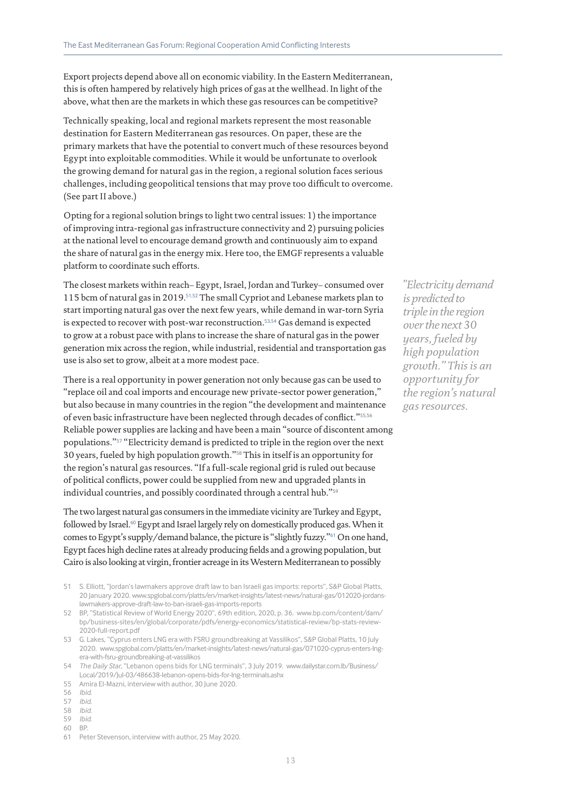Export projects depend above all on economic viability. In the Eastern Mediterranean, this is often hampered by relatively high prices of gas at the wellhead. In light of the above, what then are the markets in which these gas resources can be competitive?

Technically speaking, local and regional markets represent the most reasonable destination for Eastern Mediterranean gas resources. On paper, these are the primary markets that have the potential to convert much of these resources beyond Egypt into exploitable commodities. While it would be unfortunate to overlook the growing demand for natural gas in the region, a regional solution faces serious challenges, including geopolitical tensions that may prove too difficult to overcome. (See part II above.)

Opting for a regional solution brings to light two central issues: 1) the importance of improving intra-regional gas infrastructure connectivity and 2) pursuing policies at the national level to encourage demand growth and continuously aim to expand the share of natural gas in the energy mix. Here too, the EMGF represents a valuable platform to coordinate such efforts.

The closest markets within reach– Egypt, Israel, Jordan and Turkey– consumed over 115 bcm of natural gas in 2019.51,52 The small Cypriot and Lebanese markets plan to start importing natural gas over the next few years, while demand in war-torn Syria is expected to recover with post-war reconstruction.<sup>53,54</sup> Gas demand is expected to grow at a robust pace with plans to increase the share of natural gas in the power generation mix across the region, while industrial, residential and transportation gas use is also set to grow, albeit at a more modest pace.

There is a real opportunity in power generation not only because gas can be used to "replace oil and coal imports and encourage new private-sector power generation," but also because in many countries in the region "the development and maintenance of even basic infrastructure have been neglected through decades of conflict."55,56 Reliable power supplies are lacking and have been a main "source of discontent among populations."57 "Electricity demand is predicted to triple in the region over the next 30 years, fueled by high population growth."58 This in itself is an opportunity for the region's natural gas resources. "If a full-scale regional grid is ruled out because of political conflicts, power could be supplied from new and upgraded plants in individual countries, and possibly coordinated through a central hub."<sup>59</sup>

The two largest natural gas consumers in the immediate vicinity are Turkey and Egypt, followed by Israel.60 Egypt and Israel largely rely on domestically produced gas. When it comes to Egypt's supply/demand balance, the picture is "slightly fuzzy."61 On one hand, Egypt faces high decline rates at already producing fields and a growing population, but Cairo is also looking at virgin, frontier acreage in its Western Mediterranean to possibly

- 51 S. Elliott, "Jordan's lawmakers approve draft law to ban Israeli gas imports: reports", S&P Global Platts, 20 January 2020. www.spglobal.com/platts/en/market-insights/latest-news/natural-gas/012020-jordanslawmakers-approve-draft-law-to-ban-israeli-gas-imports-reports
- 52 BP, "Statistical Review of World Energy 2020", 69th edition, 2020, p. 36. www.bp.com/content/dam/ bp/business-sites/en/global/corporate/pdfs/energy-economics/statistical-review/bp-stats-review-2020-full-report.pdf
- 53 G. Lakes, "Cyprus enters LNG era with FSRU groundbreaking at Vassilikos", S&P Global Platts, 10 July 2020. www.spglobal.com/platts/en/market-insights/latest-news/natural-gas/071020-cyprus-enters-lngera-with-fsru-groundbreaking-at-vassilikos
- 54 *The Daily Star*, "Lebanon opens bids for LNG terminals", 3 July 2019. www.dailystar.com.lb/Business/ Local/2019/Jul-03/486638-lebanon-opens-bids-for-lng-terminals.ashx
- 55 Amira El-Mazni, interview with author, 30 June 2020.

- 57 *Ibid*.
- 58 *Ibid*.
- 59 *Ibid*.
- 60 BP.

*"Electricity demand is predicted to triple in the region over the next 30 years, fueled by high population growth." This is an opportunity for the region's natural gas resources.*

<sup>56</sup> *Ibid*.

<sup>61</sup> Peter Stevenson, interview with author, 25 May 2020.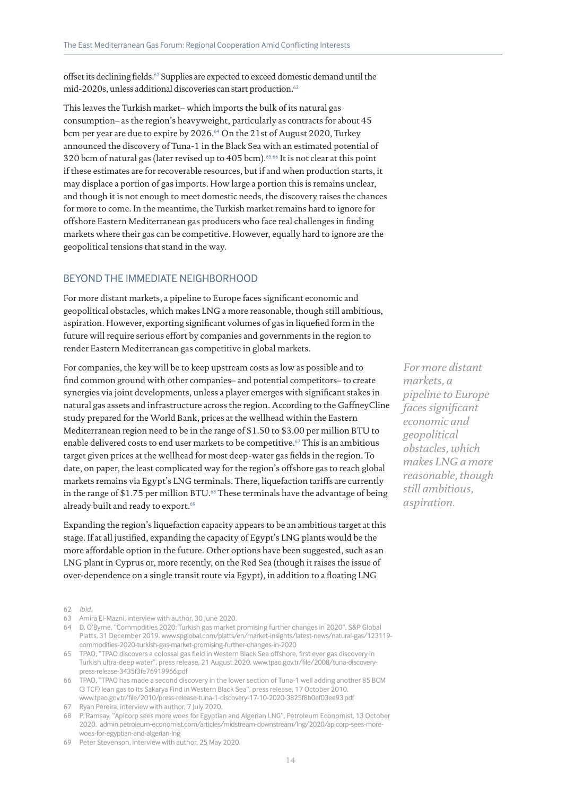offset its declining fields.62 Supplies are expected to exceed domestic demand until the mid-2020s, unless additional discoveries can start production.<sup>63</sup>

This leaves the Turkish market– which imports the bulk of its natural gas consumption– as the region's heavyweight, particularly as contracts for about 45 bcm per year are due to expire by 2026.<sup>64</sup> On the 21st of August 2020, Turkey announced the discovery of Tuna-1 in the Black Sea with an estimated potential of 320 bcm of natural gas (later revised up to 405 bcm).65,66 It is not clear at this point if these estimates are for recoverable resources, but if and when production starts, it may displace a portion of gas imports. How large a portion this is remains unclear, and though it is not enough to meet domestic needs, the discovery raises the chances for more to come. In the meantime, the Turkish market remains hard to ignore for offshore Eastern Mediterranean gas producers who face real challenges in finding markets where their gas can be competitive. However, equally hard to ignore are the geopolitical tensions that stand in the way.

#### BEYOND THE IMMEDIATE NEIGHBORHOOD

For more distant markets, a pipeline to Europe faces significant economic and geopolitical obstacles, which makes LNG a more reasonable, though still ambitious, aspiration. However, exporting significant volumes of gas in liquefied form in the future will require serious effort by companies and governments in the region to render Eastern Mediterranean gas competitive in global markets.

For companies, the key will be to keep upstream costs as low as possible and to find common ground with other companies– and potential competitors– to create synergies via joint developments, unless a player emerges with significant stakes in natural gas assets and infrastructure across the region. According to the GaffneyCline study prepared for the World Bank, prices at the wellhead within the Eastern Mediterranean region need to be in the range of \$1.50 to \$3.00 per million BTU to enable delivered costs to end user markets to be competitive.67 This is an ambitious target given prices at the wellhead for most deep-water gas fields in the region. To date, on paper, the least complicated way for the region's offshore gas to reach global markets remains via Egypt's LNG terminals. There, liquefaction tariffs are currently in the range of \$1.75 per million BTU.<sup>68</sup> These terminals have the advantage of being already built and ready to export.<sup>69</sup>

Expanding the region's liquefaction capacity appears to be an ambitious target at this stage. If at all justified, expanding the capacity of Egypt's LNG plants would be the more affordable option in the future. Other options have been suggested, such as an LNG plant in Cyprus or, more recently, on the Red Sea (though it raises the issue of over-dependence on a single transit route via Egypt), in addition to a floating LNG

62 *Ibid*.

- 63 Amira El-Mazni, interview with author, 30 June 2020.
- 64 D. O'Byrne, "Commodities 2020: Turkish gas market promising further changes in 2020", S&P Global Platts, 31 December 2019. www.spglobal.com/platts/en/market-insights/latest-news/natural-gas/123119 commodities-2020-turkish-gas-market-promising-further-changes-in-2020
- 65 TPAO, "TPAO discovers a colossal gas field in Western Black Sea offshore, first ever gas discovery in Turkish ultra-deep water", press release, 21 August 2020. www.tpao.gov.tr/file/2008/tuna-discoverypress-release-3435f3fe76919966.pdf
- 66 TPAO, "TPAO has made a second discovery in the lower section of Tuna-1 well adding another 85 BCM (3 TCF) lean gas to its Sakarya Find in Western Black Sea", press release, 17 October 2010. www.tpao.gov.tr/file/2010/press-release-tuna-1-discovery-17-10-2020-3825f8b0ef03ee93.pdf
- 67 Ryan Pereira, interview with author, 7 July 2020.
- 68 P. Ramsay, "Apicorp sees more woes for Egyptian and Algerian LNG", Petroleum Economist, 13 October 2020. admin.petroleum-economist.com/articles/midstream-downstream/lng/2020/apicorp-sees-morewoes-for-egyptian-and-algerian-lng

*For more distant markets, a pipeline to Europe faces significant economic and geopolitical obstacles, which makes LNG a more reasonable, though still ambitious, aspiration.*

<sup>69</sup> Peter Stevenson, interview with author, 25 May 2020.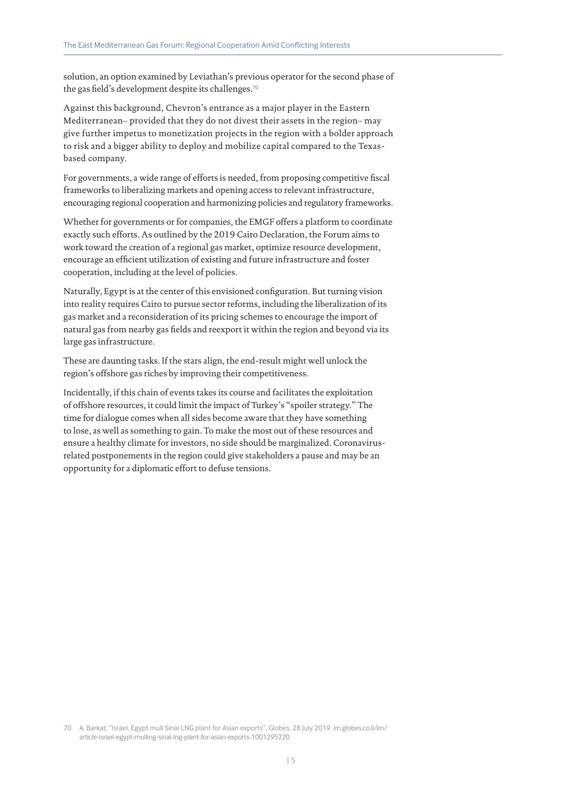solution, an option examined by Leviathan's previous operator for the second phase of the gas field's development despite its challenges.<sup>70</sup>

Against this background, Chevron's entrance as a major player in the Eastern Mediterranean– provided that they do not divest their assets in the region– may give further impetus to monetization projects in the region with a bolder approach to risk and a bigger ability to deploy and mobilize capital compared to the Texasbased company.

For governments, a wide range of efforts is needed, from proposing competitive fiscal frameworks to liberalizing markets and opening access to relevant infrastructure, encouraging regional cooperation and harmonizing policies and regulatory frameworks.

Whether for governments or for companies, the EMGF offers a platform to coordinate exactly such efforts. As outlined by the 2019 Cairo Declaration, the Forum aims to work toward the creation of a regional gas market, optimize resource development, encourage an efficient utilization of existing and future infrastructure and foster cooperation, including at the level of policies.

Naturally, Egypt is at the center of this envisioned configuration. But turning vision into reality requires Cairo to pursue sector reforms, including the liberalization of its gas market and a reconsideration of its pricing schemes to encourage the import of natural gas from nearby gas fields and reexport it within the region and beyond via its large gas infrastructure.

These are daunting tasks. If the stars align, the end-result might well unlock the region's offshore gas riches by improving their competitiveness.

Incidentally, if this chain of events takes its course and facilitates the exploitation of offshore resources, it could limit the impact of Turkey's "spoiler strategy." The time for dialogue comes when all sides become aware that they have something to lose, as well as something to gain. To make the most out of these resources and ensure a healthy climate for investors, no side should be marginalized. Coronavirusrelated postponements in the region could give stakeholders a pause and may be an opportunity for a diplomatic effort to defuse tensions.

<sup>70</sup> A. Barkat, "Israel, Egypt mull Sinai LNG plant for Asian exports", Globes, 28 July 2019. en.globes.co.il/en/ article-israel-egypt-mulling-sinai-lng-plant-for-asian-exports-1001295220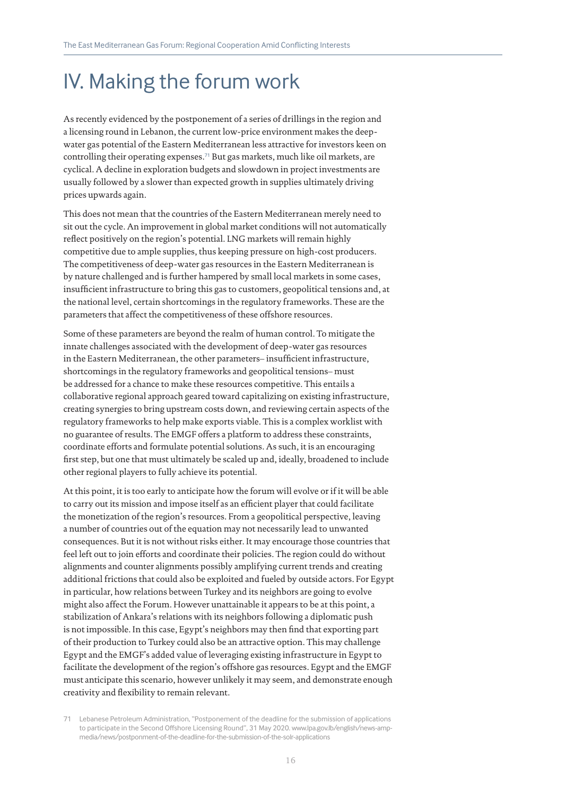## IV. Making the forum work

As recently evidenced by the postponement of a series of drillings in the region and a licensing round in Lebanon, the current low-price environment makes the deepwater gas potential of the Eastern Mediterranean less attractive for investors keen on controlling their operating expenses.71 But gas markets, much like oil markets, are cyclical. A decline in exploration budgets and slowdown in project investments are usually followed by a slower than expected growth in supplies ultimately driving prices upwards again.

This does not mean that the countries of the Eastern Mediterranean merely need to sit out the cycle. An improvement in global market conditions will not automatically reflect positively on the region's potential. LNG markets will remain highly competitive due to ample supplies, thus keeping pressure on high-cost producers. The competitiveness of deep-water gas resources in the Eastern Mediterranean is by nature challenged and is further hampered by small local markets in some cases, insufficient infrastructure to bring this gas to customers, geopolitical tensions and, at the national level, certain shortcomings in the regulatory frameworks. These are the parameters that affect the competitiveness of these offshore resources.

Some of these parameters are beyond the realm of human control. To mitigate the innate challenges associated with the development of deep-water gas resources in the Eastern Mediterranean, the other parameters– insufficient infrastructure, shortcomings in the regulatory frameworks and geopolitical tensions– must be addressed for a chance to make these resources competitive. This entails a collaborative regional approach geared toward capitalizing on existing infrastructure, creating synergies to bring upstream costs down, and reviewing certain aspects of the regulatory frameworks to help make exports viable. This is a complex worklist with no guarantee of results. The EMGF offers a platform to address these constraints, coordinate efforts and formulate potential solutions. As such, it is an encouraging first step, but one that must ultimately be scaled up and, ideally, broadened to include other regional players to fully achieve its potential.

At this point, it is too early to anticipate how the forum will evolve or if it will be able to carry out its mission and impose itself as an efficient player that could facilitate the monetization of the region's resources. From a geopolitical perspective, leaving a number of countries out of the equation may not necessarily lead to unwanted consequences. But it is not without risks either. It may encourage those countries that feel left out to join efforts and coordinate their policies. The region could do without alignments and counter alignments possibly amplifying current trends and creating additional frictions that could also be exploited and fueled by outside actors. For Egypt in particular, how relations between Turkey and its neighbors are going to evolve might also affect the Forum. However unattainable it appears to be at this point, a stabilization of Ankara's relations with its neighbors following a diplomatic push is not impossible. In this case, Egypt's neighbors may then find that exporting part of their production to Turkey could also be an attractive option. This may challenge Egypt and the EMGF's added value of leveraging existing infrastructure in Egypt to facilitate the development of the region's offshore gas resources. Egypt and the EMGF must anticipate this scenario, however unlikely it may seem, and demonstrate enough creativity and flexibility to remain relevant.

Lebanese Petroleum Administration, "Postponement of the deadline for the submission of applications to participate in the Second Offshore Licensing Round", 31 May 2020. www.lpa.gov.lb/english/news-ampmedia/news/postponment-of-the-deadline-for-the-submission-of-the-solr-applications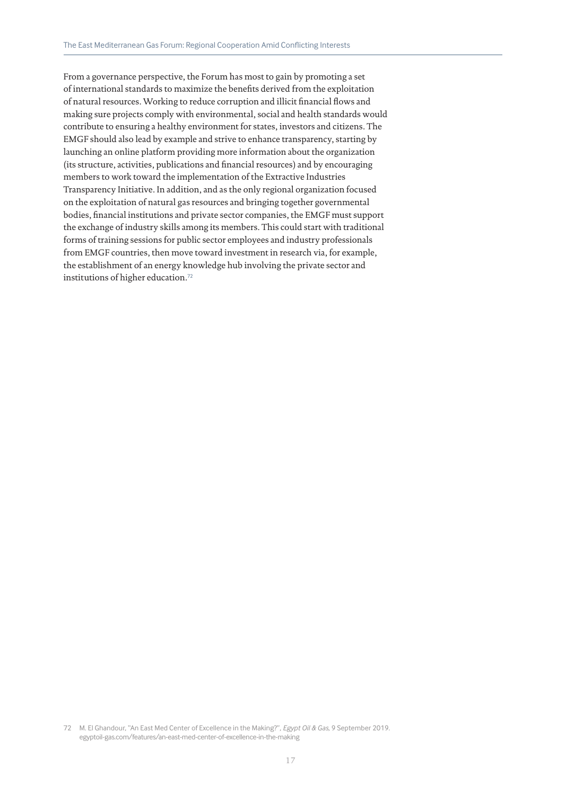From a governance perspective, the Forum has most to gain by promoting a set of international standards to maximize the benefits derived from the exploitation of natural resources. Working to reduce corruption and illicit financial flows and making sure projects comply with environmental, social and health standards would contribute to ensuring a healthy environment for states, investors and citizens. The EMGF should also lead by example and strive to enhance transparency, starting by launching an online platform providing more information about the organization (its structure, activities, publications and financial resources) and by encouraging members to work toward the implementation of the Extractive Industries Transparency Initiative. In addition, and as the only regional organization focused on the exploitation of natural gas resources and bringing together governmental bodies, financial institutions and private sector companies, the EMGF must support the exchange of industry skills among its members. This could start with traditional forms of training sessions for public sector employees and industry professionals from EMGF countries, then move toward investment in research via, for example, the establishment of an energy knowledge hub involving the private sector and institutions of higher education.<sup>72</sup>

<sup>72</sup> M. El Ghandour, "An East Med Center of Excellence in the Making?", *Egypt Oil & Gas*, 9 September 2019. egyptoil-gas.com/features/an-east-med-center-of-excellence-in-the-making